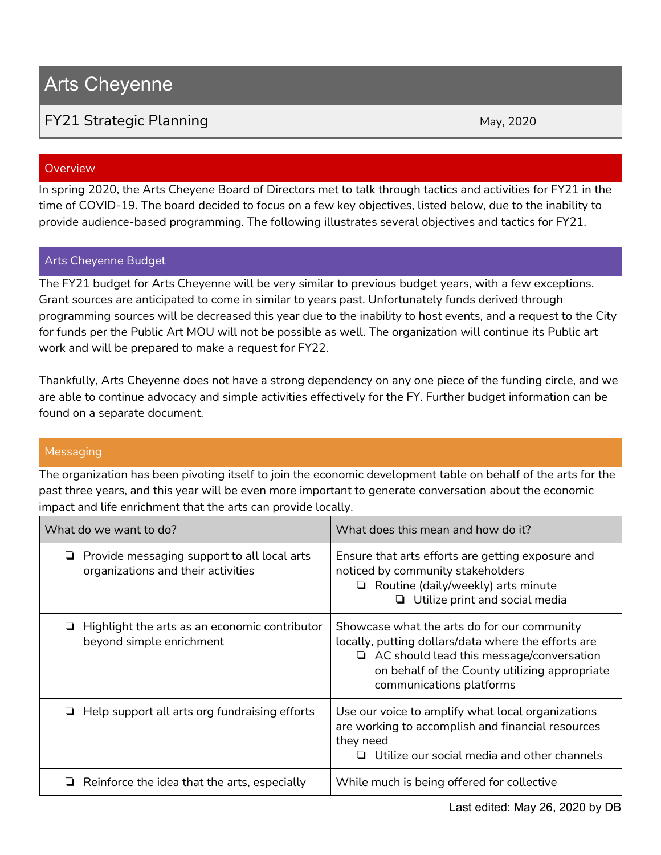# FY21 Strategic Planning May, 2020

#### **Overview**

In spring 2020, the Arts Cheyene Board of Directors met to talk through tactics and activities for FY21 in the time of COVID-19. The board decided to focus on a few key objectives, listed below, due to the inability to provide audience-based programming. The following illustrates several objectives and tactics for FY21.

## Arts Cheyenne Budget

The FY21 budget for Arts Cheyenne will be very similar to previous budget years, with a few exceptions. Grant sources are anticipated to come in similar to years past. Unfortunately funds derived through programming sources will be decreased this year due to the inability to host events, and a request to the City for funds per the Public Art MOU will not be possible as well. The organization will continue its Public art work and will be prepared to make a request for FY22.

Thankfully, Arts Cheyenne does not have a strong dependency on any one piece of the funding circle, and we are able to continue advocacy and simple activities effectively for the FY. Further budget information can be found on a separate document.

#### **Messaging**

The organization has been pivoting itself to join the economic development table on behalf of the arts for the past three years, and this year will be even more important to generate conversation about the economic impact and life enrichment that the arts can provide locally.

| What do we want to do?                                                                 | What does this mean and how do it?                                                                                                                                                                                                 |
|----------------------------------------------------------------------------------------|------------------------------------------------------------------------------------------------------------------------------------------------------------------------------------------------------------------------------------|
| Provide messaging support to all local arts<br>⊔<br>organizations and their activities | Ensure that arts efforts are getting exposure and<br>noticed by community stakeholders<br>$\Box$ Routine (daily/weekly) arts minute<br>$\Box$ Utilize print and social media                                                       |
| $\Box$ Highlight the arts as an economic contributor<br>beyond simple enrichment       | Showcase what the arts do for our community<br>locally, putting dollars/data where the efforts are<br>$\Box$ AC should lead this message/conversation<br>on behalf of the County utilizing appropriate<br>communications platforms |
| Help support all arts org fundraising efforts<br>u                                     | Use our voice to amplify what local organizations<br>are working to accomplish and financial resources<br>they need<br>Utilize our social media and other channels                                                                 |
| Reinforce the idea that the arts, especially                                           | While much is being offered for collective                                                                                                                                                                                         |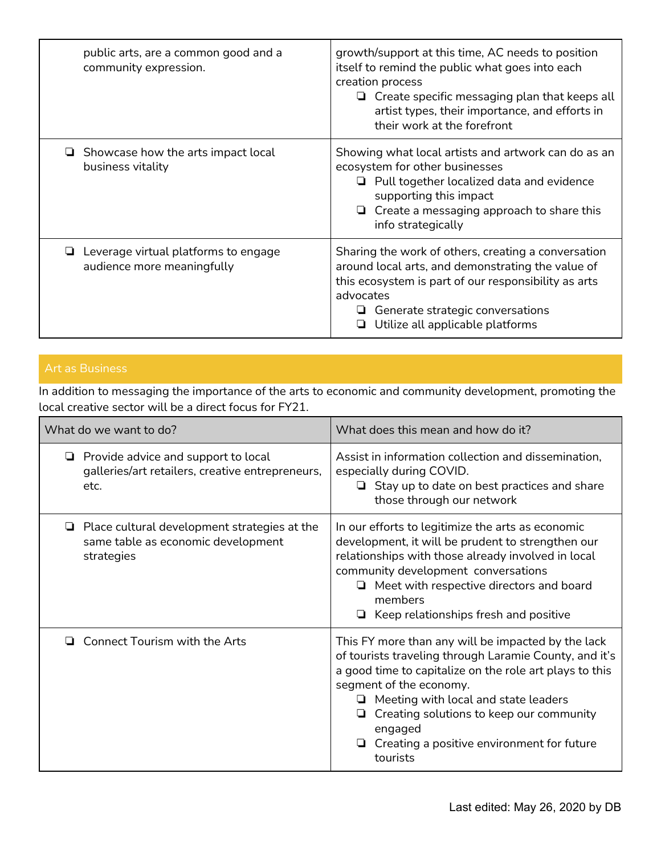| public arts, are a common good and a<br>community expression.           | growth/support at this time, AC needs to position<br>itself to remind the public what goes into each<br>creation process<br>$\Box$ Create specific messaging plan that keeps all<br>artist types, their importance, and efforts in<br>their work at the forefront |
|-------------------------------------------------------------------------|-------------------------------------------------------------------------------------------------------------------------------------------------------------------------------------------------------------------------------------------------------------------|
| Showcase how the arts impact local<br>business vitality                 | Showing what local artists and artwork can do as an<br>ecosystem for other businesses<br>$\Box$ Pull together localized data and evidence<br>supporting this impact<br>$\Box$ Create a messaging approach to share this<br>info strategically                     |
| Leverage virtual platforms to engage<br>⊔<br>audience more meaningfully | Sharing the work of others, creating a conversation<br>around local arts, and demonstrating the value of<br>this ecosystem is part of our responsibility as arts<br>advocates<br>$\Box$ Generate strategic conversations<br>Utilize all applicable platforms      |

In addition to messaging the importance of the arts to economic and community development, promoting the local creative sector will be a direct focus for FY21.

| What do we want to do?                                                                                | What does this mean and how do it?                                                                                                                                                                                                                                                                                                                                        |
|-------------------------------------------------------------------------------------------------------|---------------------------------------------------------------------------------------------------------------------------------------------------------------------------------------------------------------------------------------------------------------------------------------------------------------------------------------------------------------------------|
| Provide advice and support to local<br>u.<br>galleries/art retailers, creative entrepreneurs,<br>etc. | Assist in information collection and dissemination,<br>especially during COVID.<br>$\Box$ Stay up to date on best practices and share<br>those through our network                                                                                                                                                                                                        |
| Place cultural development strategies at the<br>same table as economic development<br>strategies      | In our efforts to legitimize the arts as economic<br>development, it will be prudent to strengthen our<br>relationships with those already involved in local<br>community development conversations<br>$\Box$ Meet with respective directors and board<br>members<br>$\Box$ Keep relationships fresh and positive                                                         |
| Connect Tourism with the Arts                                                                         | This FY more than any will be impacted by the lack<br>of tourists traveling through Laramie County, and it's<br>a good time to capitalize on the role art plays to this<br>segment of the economy.<br>$\Box$ Meeting with local and state leaders<br>Creating solutions to keep our community<br>engaged<br>$\Box$ Creating a positive environment for future<br>tourists |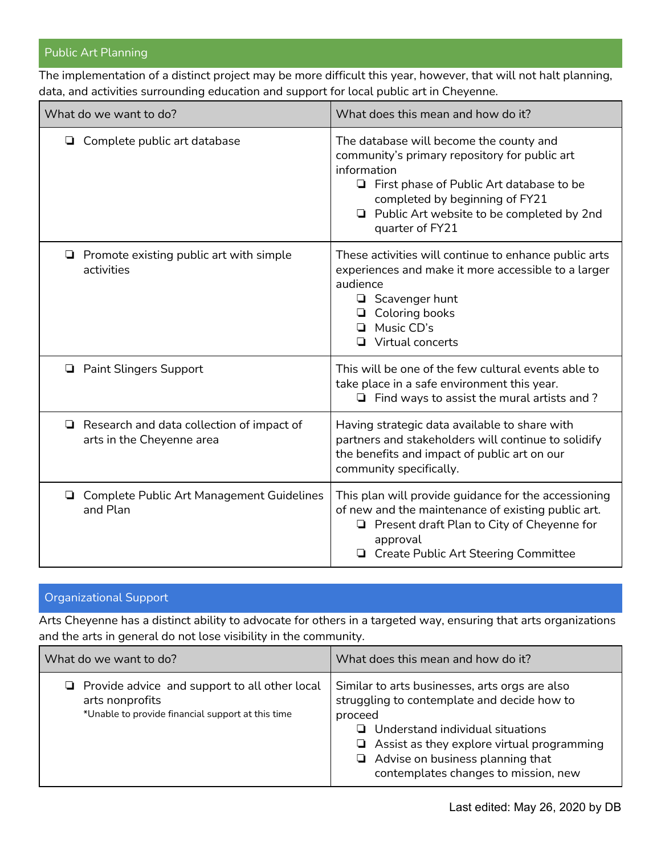#### Public Art Planning

The implementation of a distinct project may be more difficult this year, however, that will not halt planning, data, and activities surrounding education and support for local public art in Cheyenne.

| What do we want to do?                                                        | What does this mean and how do it?                                                                                                                                                                                                                           |
|-------------------------------------------------------------------------------|--------------------------------------------------------------------------------------------------------------------------------------------------------------------------------------------------------------------------------------------------------------|
| $\Box$ Complete public art database                                           | The database will become the county and<br>community's primary repository for public art<br>information<br>$\Box$ First phase of Public Art database to be<br>completed by beginning of FY21<br>Public Art website to be completed by 2nd<br>quarter of FY21 |
| $\Box$ Promote existing public art with simple<br>activities                  | These activities will continue to enhance public arts<br>experiences and make it more accessible to a larger<br>audience<br>□ Scavenger hunt<br>Coloring books<br>Music CD's<br>□<br>Virtual concerts                                                        |
| <b>Q</b> Paint Slingers Support                                               | This will be one of the few cultural events able to<br>take place in a safe environment this year.<br>$\Box$ Find ways to assist the mural artists and ?                                                                                                     |
| $\Box$ Research and data collection of impact of<br>arts in the Cheyenne area | Having strategic data available to share with<br>partners and stakeholders will continue to solidify<br>the benefits and impact of public art on our<br>community specifically.                                                                              |
| □ Complete Public Art Management Guidelines<br>and Plan                       | This plan will provide guidance for the accessioning<br>of new and the maintenance of existing public art.<br>$\Box$ Present draft Plan to City of Cheyenne for<br>approval<br>□ Create Public Art Steering Committee                                        |

## Organizational Support

Arts Cheyenne has a distinct ability to advocate for others in a targeted way, ensuring that arts organizations and the arts in general do not lose visibility in the community.

| What do we want to do?                                                                                                       | What does this mean and how do it?                                                                                                                                                                                                                                                   |
|------------------------------------------------------------------------------------------------------------------------------|--------------------------------------------------------------------------------------------------------------------------------------------------------------------------------------------------------------------------------------------------------------------------------------|
| $\Box$ Provide advice and support to all other local<br>arts nonprofits<br>*Unable to provide financial support at this time | Similar to arts businesses, arts orgs are also<br>struggling to contemplate and decide how to<br>proceed<br>Understand individual situations<br>$\Box$ Assist as they explore virtual programming<br>$\Box$ Advise on business planning that<br>contemplates changes to mission, new |